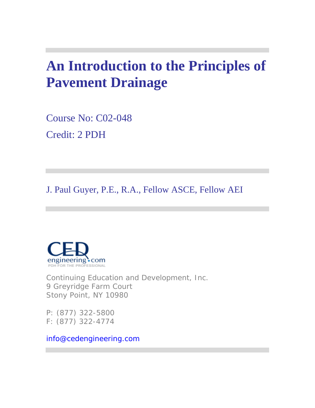# **An Introduction to the Principles of Pavement Drainage**

Course No: C02-048 Credit: 2 PDH

J. Paul Guyer, P.E., R.A., Fellow ASCE, Fellow AEI



Continuing Education and Development, Inc. 9 Greyridge Farm Court Stony Point, NY 10980

P: (877) 322-5800 F: (877) 322-4774

info@cedengineering.com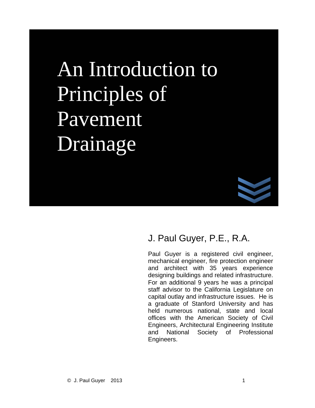### $\Gamma$ Principles of and architect with 35 years experience designing buildings and related infrastructure.  $P_{\rm 9 V}\rho$ mant Pavement  $\Gamma$ Engineers. An Introduction to Drainage



### J. Paul Guyer, P.E., R.A.

Paul Guyer is a registered civil engineer, mechanical engineer, fire protection engineer and architect with 35 years experience designing buildings and related infrastructure. For an additional 9 years he was a principal staff advisor to the California Legislature on capital outlay and infrastructure issues. He is a graduate of Stanford University and has held numerous national, state and local offices with the American Society of Civil Engineers, Architectural Engineering Institute and National Society of Professional Engineers.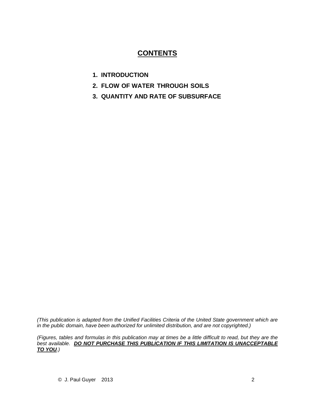### **CONTENTS**

- **1. INTRODUCTION**
- **2. FLOW OF WATER THROUGH SOILS**
- **3. QUANTITY AND RATE OF SUBSURFACE**

*(This publication is adapted from the Unified Facilities Criteria of the United State government which are in the public domain, have been authorized for unlimited distribution, and are not copyrighted.)* 

*(Figures, tables and formulas in this publication may at times be a little difficult to read, but they are the best available. DO NOT PURCHASE THIS PUBLICATION IF THIS LIMITATION IS UNACCEPTABLE TO YOU.)*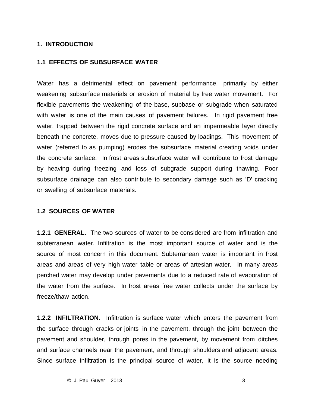#### **1. INTRODUCTION**

#### **1.1 EFFECTS OF SUBSURFACE WATER**

Water has a detrimental effect on pavement performance, primarily by either weakening subsurface materials or erosion of material by free water movement. For flexible pavements the weakening of the base, subbase or subgrade when saturated with water is one of the main causes of pavement failures. In rigid pavement free water, trapped between the rigid concrete surface and an impermeable layer directly beneath the concrete, moves due to pressure caused by loadings. This movement of water (referred to as pumping) erodes the subsurface material creating voids under the concrete surface. In frost areas subsurface water will contribute to frost damage by heaving during freezing and loss of subgrade support during thawing. Poor subsurface drainage can also contribute to secondary damage such as 'D' cracking or swelling of subsurface materials.

#### **1.2 SOURCES OF WATER**

**1.2.1 GENERAL.** The two sources of water to be considered are from infiltration and subterranean water. Infiltration is the most important source of water and is the source of most concern in this document. Subterranean water is important in frost areas and areas of very high water table or areas of artesian water. In many areas perched water may develop under pavements due to a reduced rate of evaporation of the water from the surface. In frost areas free water collects under the surface by freeze/thaw action.

**1.2.2 INFILTRATION.** Infiltration is surface water which enters the pavement from the surface through cracks or joints in the pavement, through the joint between the pavement and shoulder, through pores in the pavement, by movement from ditches and surface channels near the pavement, and through shoulders and adjacent areas. Since surface infiltration is the principal source of water, it is the source needing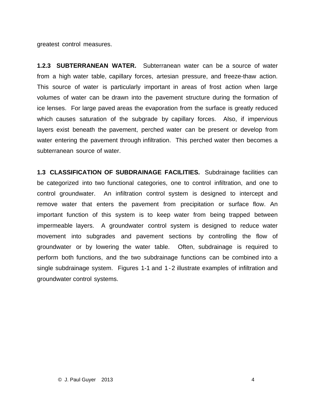greatest control measures.

**1.2.3 SUBTERRANEAN WATER.** Subterranean water can be a source of water from a high water table, capillary forces, artesian pressure, and freeze-thaw action. This source of water is particularly important in areas of frost action when large volumes of water can be drawn into the pavement structure during the formation of ice lenses. For large paved areas the evaporation from the surface is greatly reduced which causes saturation of the subgrade by capillary forces. Also, if impervious layers exist beneath the pavement, perched water can be present or develop from water entering the pavement through infiltration. This perched water then becomes a subterranean source of water.

**1.3 CLASSIFICATION OF SUBDRAINAGE FACILITIES.** Subdrainage facilities can be categorized into two functional categories, one to control infiltration, and one to control groundwater. An infiltration control system is designed to intercept and remove water that enters the pavement from precipitation or surface flow. An important function of this system is to keep water from being trapped between impermeable layers. A groundwater control system is designed to reduce water movement into subgrades and pavement sections by controlling the flow of groundwater or by lowering the water table. Often, subdrainage is required to perform both functions, and the two subdrainage functions can be combined into a single subdrainage system. Figures 1-1 and 1-2 illustrate examples of infiltration and groundwater control systems.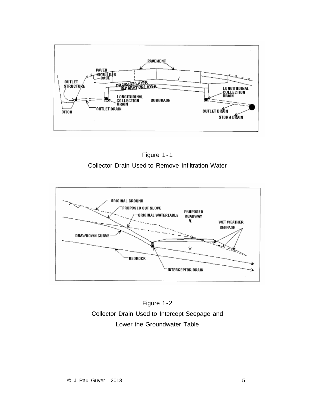





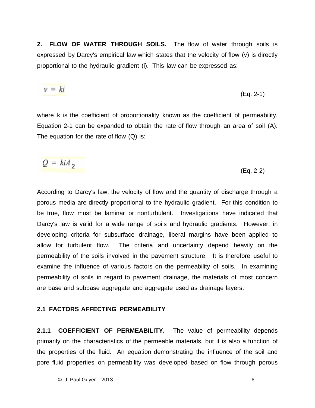**2. FLOW OF WATER THROUGH SOILS.** The flow of water through soils is expressed by Darcy's empirical law which states that the velocity of flow (v) is directly proportional to the hydraulic gradient (i). This law can be expressed as:

$$
v = ki \tag{Eq. 2-1}
$$

where k is the coefficient of proportionality known as the coefficient of permeability. Equation 2-1 can be expanded to obtain the rate of flow through an area of soil (A). The equation for the rate of flow (Q) is:

$$
Q = k i A_2
$$
 (Eq. 2-2)

According to Darcy's law, the velocity of flow and the quantity of discharge through a porous media are directly proportional to the hydraulic gradient. For this condition to be true, flow must be laminar or nonturbulent. Investigations have indicated that Darcy's law is valid for a wide range of soils and hydraulic gradients. However, in developing criteria for subsurface drainage, liberal margins have been applied to allow for turbulent flow. The criteria and uncertainty depend heavily on the permeability of the soils involved in the pavement structure. It is therefore useful to examine the influence of various factors on the permeability of soils. In examining permeability of soils in regard to pavement drainage, the materials of most concern are base and subbase aggregate and aggregate used as drainage layers.

#### **2.1 FACTORS AFFECTING PERMEABILITY**

**2.1.1 COEFFICIENT OF PERMEABILITY.** The value of permeability depends primarily on the characteristics of the permeable materials, but it is also a function of the properties of the fluid. An equation demonstrating the influence of the soil and pore fluid properties on permeability was developed based on flow through porous

 $\oslash$  J. Paul Guyer 2013 6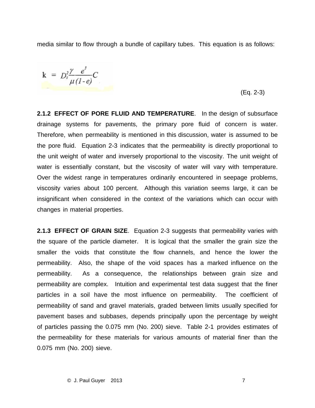media similar to flow through a bundle of capillary tubes. This equation is as follows:

$$
k = D_s^2 \frac{\gamma}{\mu} \frac{e^3}{(1-e)} C
$$

## $(Eq. 2-3)$

**2.1.2 EFFECT OF PORE FLUID AND TEMPERATURE**. In the design of subsurface drainage systems for pavements, the primary pore fluid of concern is water. Therefore, when permeability is mentioned in this discussion, water is assumed to be the pore fluid. Equation 2-3 indicates that the permeability is directly proportional to the unit weight of water and inversely proportional to the viscosity. The unit weight of water is essentially constant, but the viscosity of water will vary with temperature. Over the widest range in temperatures ordinarily encountered in seepage problems, viscosity varies about 100 percent. Although this variation seems large, it can be insignificant when considered in the context of the variations which can occur with changes in material properties.

**2.1.3 EFFECT OF GRAIN SIZE**. Equation 2-3 suggests that permeability varies with the square of the particle diameter. It is logical that the smaller the grain size the smaller the voids that constitute the flow channels, and hence the lower the permeability. Also, the shape of the void spaces has a marked influence on the permeability. As a consequence, the relationships between grain size and permeability are complex. Intuition and experimental test data suggest that the finer particles in a soil have the most influence on permeability. The coefficient of permeability of sand and gravel materials, graded between limits usually specified for pavement bases and subbases, depends principally upon the percentage by weight of particles passing the 0.075 mm (No. 200) sieve. Table 2-1 provides estimates of the permeability for these materials for various amounts of material finer than the 0.075 mm (No. 200) sieve.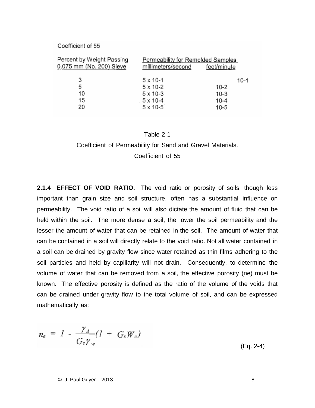#### Coefficient of 55

| Percent by Weight Passing<br>0.075 mm (No. 200) Sieve | Permeability for Remolded Samples<br>millimeters/second | feet/minute |
|-------------------------------------------------------|---------------------------------------------------------|-------------|
| 3                                                     | $5 \times 10 - 1$                                       | $10-1$      |
| 5                                                     | $5 \times 10 - 2$                                       | $10 - 2$    |
| 10                                                    | $5 \times 10 - 3$                                       | $10-3$      |
| 15                                                    | $5 \times 10 - 4$                                       | $10 - 4$    |
| 20                                                    | $5 \times 10 - 5$                                       | $10 - 5$    |

#### Table 2-1

Coefficient of Permeability for Sand and Gravel Materials. Coefficient of 55

**2.1.4 EFFECT OF VOID RATIO.** The void ratio or porosity of soils, though less important than grain size and soil structure, often has a substantial influence on permeability. The void ratio of a soil will also dictate the amount of fluid that can be held within the soil. The more dense a soil, the lower the soil permeability and the lesser the amount of water that can be retained in the soil. The amount of water that can be contained in a soil will directly relate to the void ratio. Not all water contained in a soil can be drained by gravity flow since water retained as thin films adhering to the soil particles and held by capillarity will not drain. Consequently, to determine the volume of water that can be removed from a soil, the effective porosity (ne) must be known. The effective porosity is defined as the ratio of the volume of the voids that can be drained under gravity flow to the total volume of soil, and can be expressed mathematically as:

$$
n_e = I - \frac{\gamma_d}{G_s \gamma_w} (I + G_s W_e)
$$

(Eq. 2-4)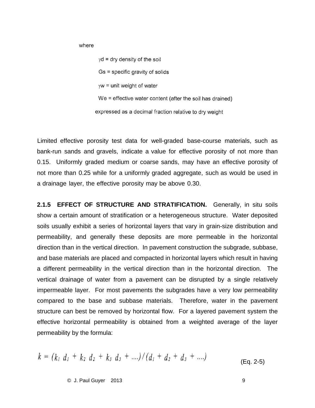where

 $\gamma$ d = dry density of the soil  $Gs = specific gravity of solids$  $\gamma w =$  unit weight of water We = effective water content (after the soil has drained) expressed as a decimal fraction relative to dry weight

Limited effective porosity test data for well-graded base-course materials, such as bank-run sands and gravels, indicate a value for effective porosity of not more than 0.15. Uniformly graded medium or coarse sands, may have an effective porosity of not more than 0.25 while for a uniformly graded aggregate, such as would be used in a drainage layer, the effective porosity may be above 0.30.

**2.1.5 EFFECT OF STRUCTURE AND STRATIFICATION.** Generally, in situ soils show a certain amount of stratification or a heterogeneous structure. Water deposited soils usually exhibit a series of horizontal layers that vary in grain-size distribution and permeability, and generally these deposits are more permeable in the horizontal direction than in the vertical direction. In pavement construction the subgrade, subbase, and base materials are placed and compacted in horizontal layers which result in having a different permeability in the vertical direction than in the horizontal direction. The vertical drainage of water from a pavement can be disrupted by a single relatively impermeable layer. For most pavements the subgrades have a very low permeability compared to the base and subbase materials. Therefore, water in the pavement structure can best be removed by horizontal flow. For a layered pavement system the effective horizontal permeability is obtained from a weighted average of the layer permeability by the formula:

$$
k = (k_1 d_1 + k_2 d_2 + k_3 d_3 + ....)/(d_1 + d_2 + d_3 + ....)
$$
 (Eq. 2-5)

© J. Paul Guyer 2013 9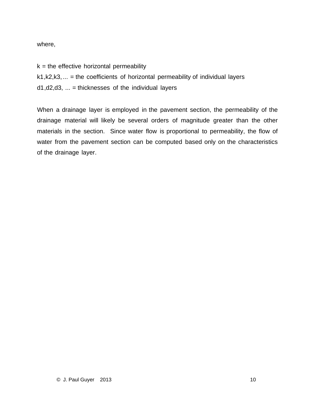where,

 $k =$  the effective horizontal permeability

 $k1, k2, k3, \ldots$  = the coefficients of horizontal permeability of individual layers

 $d1, d2, d3, ... =$  thicknesses of the individual layers

When a drainage layer is employed in the pavement section, the permeability of the drainage material will likely be several orders of magnitude greater than the other materials in the section. Since water flow is proportional to permeability, the flow of water from the pavement section can be computed based only on the characteristics of the drainage layer.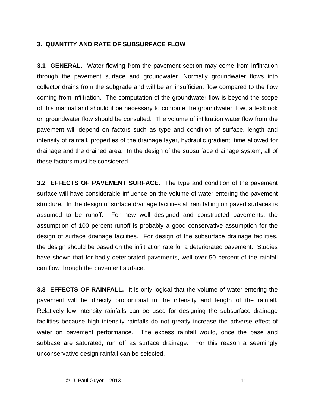#### **3. QUANTITY AND RATE OF SUBSURFACE FLOW**

**3.1 GENERAL.** Water flowing from the pavement section may come from infiltration through the pavement surface and groundwater. Normally groundwater flows into collector drains from the subgrade and will be an insufficient flow compared to the flow coming from infiltration. The computation of the groundwater flow is beyond the scope of this manual and should it be necessary to compute the groundwater flow, a textbook on groundwater flow should be consulted. The volume of infiltration water flow from the pavement will depend on factors such as type and condition of surface, length and intensity of rainfall, properties of the drainage layer, hydraulic gradient, time allowed for drainage and the drained area. In the design of the subsurface drainage system, all of these factors must be considered.

**3.2 EFFECTS OF PAVEMENT SURFACE.** The type and condition of the pavement surface will have considerable influence on the volume of water entering the pavement structure. In the design of surface drainage facilities all rain falling on paved surfaces is assumed to be runoff. For new well designed and constructed pavements, the assumption of 100 percent runoff is probably a good conservative assumption for the design of surface drainage facilities. For design of the subsurface drainage facilities, the design should be based on the infiltration rate for a deteriorated pavement. Studies have shown that for badly deteriorated pavements, well over 50 percent of the rainfall can flow through the pavement surface.

**3.3 EFFECTS OF RAINFALL.** It is only logical that the volume of water entering the pavement will be directly proportional to the intensity and length of the rainfall. Relatively low intensity rainfalls can be used for designing the subsurface drainage facilities because high intensity rainfalls do not greatly increase the adverse effect of water on pavement performance. The excess rainfall would, once the base and subbase are saturated, run off as surface drainage. For this reason a seemingly unconservative design rainfall can be selected.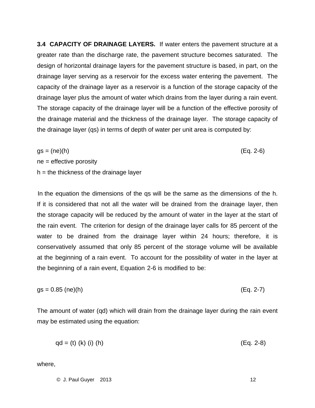**3.4 CAPACITY OF DRAINAGE LAYERS.** If water enters the pavement structure at a greater rate than the discharge rate, the pavement structure becomes saturated. The design of horizontal drainage layers for the pavement structure is based, in part, on the drainage layer serving as a reservoir for the excess water entering the pavement. The capacity of the drainage layer as a reservoir is a function of the storage capacity of the drainage layer plus the amount of water which drains from the layer during a rain event. The storage capacity of the drainage layer will be a function of the effective porosity of the drainage material and the thickness of the drainage layer. The storage capacity of the drainage layer (qs) in terms of depth of water per unit area is computed by:

 $gs = (ne)(h)$  (Eq. 2-6)  $ne =$  effective porosity  $h =$  the thickness of the drainage layer

In the equation the dimensions of the qs will be the same as the dimensions of the h. If it is considered that not all the water will be drained from the drainage layer, then the storage capacity will be reduced by the amount of water in the layer at the start of the rain event. The criterion for design of the drainage layer calls for 85 percent of the water to be drained from the drainage layer within 24 hours; therefore, it is conservatively assumed that only 85 percent of the storage volume will be available at the beginning of a rain event. To account for the possibility of water in the layer at the beginning of a rain event, Equation 2-6 is modified to be:

$$
gs = 0.85 \text{ (ne)(h)} \tag{Eq. 2-7}
$$

The amount of water (qd) which will drain from the drainage layer during the rain event may be estimated using the equation:

 $qd = (t) (k) (i) (h)$  (Eq. 2-8)

where,

 $\oslash$  J. Paul Guyer 2013 12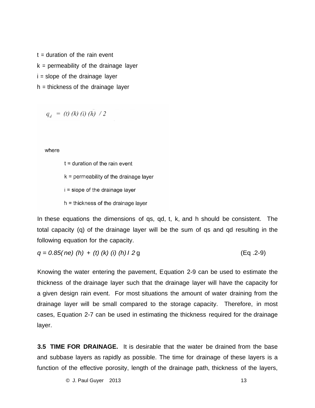$t =$  duration of the rain event  $k =$  permeability of the drainage layer i = slope of the drainage layer h = thickness of the drainage layer

 $q_{d} = (t) (k) (i) (h) / 2$ 

where

 $t =$  duration of the rain event  $k =$  permeability of the drainage layer i = slope of the drainage layer  $h =$  thickness of the drainage layer

In these equations the dimensions of qs, qd, t, k, and h should be consistent. The total capacity (q) of the drainage layer will be the sum of qs and qd resulting in the following equation for the capacity.

*q = 0.85( ne) (h)* + *(t) (k) (i) (h) I 2* g (Eq .2-9)

Knowing the water entering the pavement, Equation 2-9 can be used to estimate the thickness of the drainage layer such that the drainage layer will have the capacity for a given design rain event. For most situations the amount of water draining from the drainage layer will be small compared to the storage capacity. Therefore, in most cases, Equation 2-7 can be used in estimating the thickness required for the drainage layer.

**3.5 TIME FOR DRAINAGE.** It is desirable that the water be drained from the base and subbase layers as rapidly as possible. The time for drainage of these layers is a function of the effective porosity, length of the drainage path, thickness of the layers,

© J. Paul Guyer 2013 13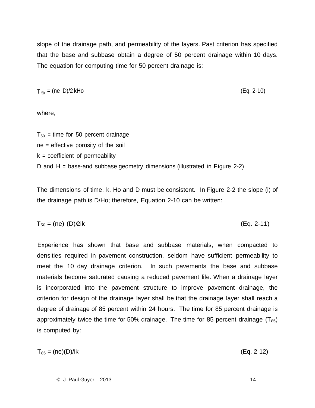slope of the drainage path, and permeability of the layers. Past criterion has specified that the base and subbase obtain a degree of 50 percent drainage within 10 days. The equation for computing time for 50 percent drainage is:

 $T_{50} = (ne D)/2$  kHo (Eq. 2-10)

where,

 $T_{50}$  = time for 50 percent drainage ne = effective porosity of the soil  $k =$  coefficient of permeability D and H = base-and subbase geometry dimensions (illustrated in Figure 2-2)

The dimensions of time, k, Ho and D must be consistent. In Figure 2-2 the slope (i) of the drainage path is D/Ho; therefore, Equation 2-10 can be written:

$$
T_{50} = (ne) (D)/2ik
$$
 (Eq. 2-11)

Experience has shown that base and subbase materials, when compacted to densities required in pavement construction, seldom have sufficient permeability to meet the 10 day drainage criterion. In such pavements the base and subbase materials become saturated causing a reduced pavement life. When a drainage layer is incorporated into the pavement structure to improve pavement drainage, the criterion for design of the drainage layer shall be that the drainage layer shall reach a degree of drainage of 85 percent within 24 hours. The time for 85 percent drainage is approximately twice the time for 50% drainage. The time for 85 percent drainage  $(T_{85})$ is computed by:

$$
T_{85} = \frac{(ne)(D)}{ik} \tag{Eq. 2-12}
$$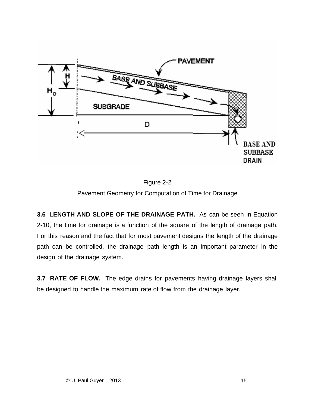

Figure 2-2 Pavement Geometry for Computation of Time for Drainage

**3.6 LENGTH AND SLOPE OF THE DRAINAGE PATH.** As can be seen in Equation 2-10, the time for drainage is a function of the square of the length of drainage path. For this reason and the fact that for most pavement designs the length of the drainage path can be controlled, the drainage path length is an important parameter in the design of the drainage system.

**3.7 RATE OF FLOW.** The edge drains for pavements having drainage layers shall be designed to handle the maximum rate of flow from the drainage layer.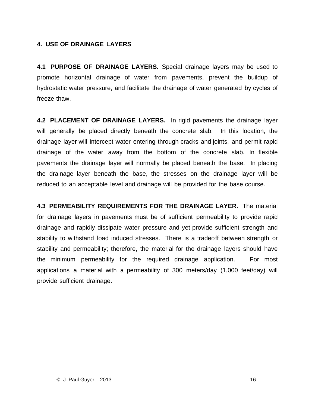#### **4. USE OF DRAINAGE LAYERS**

**4.1 PURPOSE OF DRAINAGE LAYERS.** Special drainage layers may be used to promote horizontal drainage of water from pavements, prevent the buildup of hydrostatic water pressure, and facilitate the drainage of water generated by cycles of freeze-thaw.

**4.2 PLACEMENT OF DRAINAGE LAYERS.** In rigid pavements the drainage layer will generally be placed directly beneath the concrete slab. In this location, the drainage layer will intercept water entering through cracks and joints, and permit rapid drainage of the water away from the bottom of the concrete slab. In flexible pavements the drainage layer will normally be placed beneath the base. In placing the drainage layer beneath the base, the stresses on the drainage layer will be reduced to an acceptable level and drainage will be provided for the base course.

**4.3 PERMEABILITY REQUIREMENTS FOR THE DRAINAGE LAYER.** The material for drainage layers in pavements must be of sufficient permeability to provide rapid drainage and rapidly dissipate water pressure and yet provide sufficient strength and stability to withstand load induced stresses. There is a tradeoff between strength or stability and permeability; therefore, the material for the drainage layers should have the minimum permeability for the required drainage application. For most applications a material with a permeability of 300 meters/day (1,000 feet/day) will provide sufficient drainage.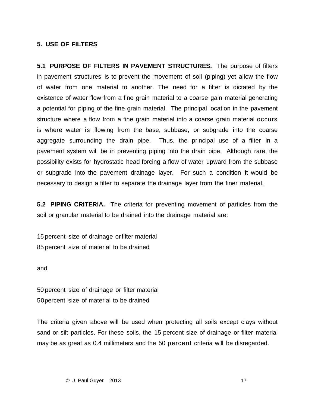#### **5. USE OF FILTERS**

**5.1 PURPOSE OF FILTERS IN PAVEMENT STRUCTURES.** The purpose of filters in pavement structures is to prevent the movement of soil (piping) yet allow the flow of water from one material to another. The need for a filter is dictated by the existence of water flow from a fine grain material to a coarse gain material generating a potential for piping of the fine grain material. The principal location in the pavement structure where a flow from a fine grain material into a coarse grain material occurs is where water is flowing from the base, subbase, or subgrade into the coarse aggregate surrounding the drain pipe. Thus, the principal use of a filter in a pavement system will be in preventing piping into the drain pipe. Although rare, the possibility exists for hydrostatic head forcing a flow of water upward from the subbase or subgrade into the pavement drainage layer. For such a condition it would be necessary to design a filter to separate the drainage layer from the finer material.

**5.2 PIPING CRITERIA.** The criteria for preventing movement of particles from the soil or granular material to be drained into the drainage material are:

15 percent size of drainage or filter material 85 percent size of material to be drained

and

50 percent size of drainage or filter material 50percent size of material to be drained

The criteria given above will be used when protecting all soils except clays without sand or silt particles. For these soils, the 15 percent size of drainage or filter material may be as great as 0.4 millimeters and the 50 percent criteria will be disregarded.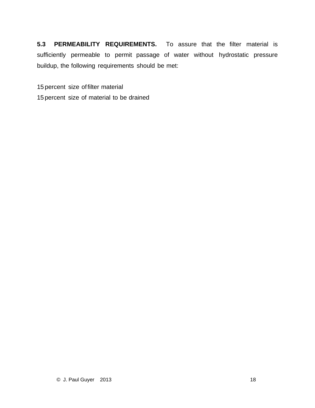**5.3 PERMEABILITY REQUIREMENTS.** To assure that the filter material is sufficiently permeable to permit passage of water without hydrostatic pressure buildup, the following requirements should be met:

15 percent size of filter material

15 percent size of material to be drained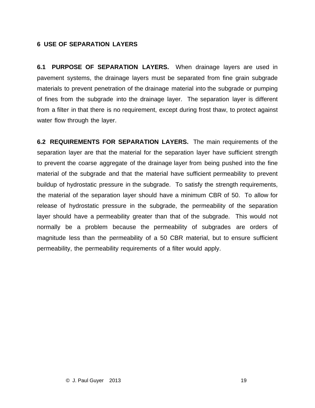#### **6 USE OF SEPARATION LAYERS**

**6.1 PURPOSE OF SEPARATION LAYERS.** When drainage layers are used in pavement systems, the drainage layers must be separated from fine grain subgrade materials to prevent penetration of the drainage material into the subgrade or pumping of fines from the subgrade into the drainage layer. The separation layer is different from a filter in that there is no requirement, except during frost thaw, to protect against water flow through the layer.

**6.2 REQUIREMENTS FOR SEPARATION LAYERS.** The main requirements of the separation layer are that the material for the separation layer have sufficient strength to prevent the coarse aggregate of the drainage layer from being pushed into the fine material of the subgrade and that the material have sufficient permeability to prevent buildup of hydrostatic pressure in the subgrade. To satisfy the strength requirements, the material of the separation layer should have a minimum CBR of 50. To allow for release of hydrostatic pressure in the subgrade, the permeability of the separation layer should have a permeability greater than that of the subgrade. This would not normally be a problem because the permeability of subgrades are orders of magnitude less than the permeability of a 50 CBR material, but to ensure sufficient permeability, the permeability requirements of a filter would apply.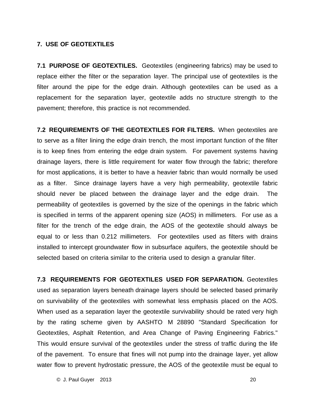#### **7. USE OF GEOTEXTILES**

**7.1 PURPOSE OF GEOTEXTILES.** Geotextiles (engineering fabrics) may be used to replace either the filter or the separation layer. The principal use of geotextiles is the filter around the pipe for the edge drain. Although geotextiles can be used as a replacement for the separation layer, geotextile adds no structure strength to the pavement; therefore, this practice is not recommended.

**7.2 REQUIREMENTS OF THE GEOTEXTILES FOR FILTERS.** When geotextiles are to serve as a filter lining the edge drain trench, the most important function of the filter is to keep fines from entering the edge drain system. For pavement systems having drainage layers, there is little requirement for water flow through the fabric; therefore for most applications, it is better to have a heavier fabric than would normally be used as a filter. Since drainage layers have a very high permeability, geotextile fabric should never be placed between the drainage layer and the edge drain. The permeability of geotextiles is governed by the size of the openings in the fabric which is specified in terms of the apparent opening size (AOS) in millimeters. For use as a filter for the trench of the edge drain, the AOS of the geotextile should always be equal to or less than 0.212 millimeters. For geotextiles used as filters with drains installed to intercept groundwater flow in subsurface aquifers, the geotextile should be selected based on criteria similar to the criteria used to design a granular filter.

**7.3 REQUIREMENTS FOR GEOTEXTILES USED FOR SEPARATION.** Geotextiles used as separation layers beneath drainage layers should be selected based primarily on survivability of the geotextiles with somewhat less emphasis placed on the AOS. When used as a separation layer the geotextile survivability should be rated very high by the rating scheme given by AASHTO M 28890 "Standard Specification for Geotextiles, Asphalt Retention, and Area Change of Paving Engineering Fabrics." This would ensure survival of the geotextiles under the stress of traffic during the life of the pavement. To ensure that fines will not pump into the drainage layer, yet allow water flow to prevent hydrostatic pressure, the AOS of the geotextile must be equal to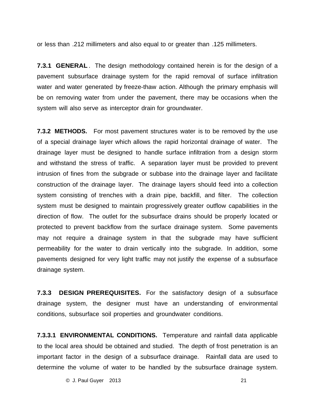or less than .212 millimeters and also equal to or greater than .125 millimeters.

**7.3.1 GENERAL**. The design methodology contained herein is for the design of a pavement subsurface drainage system for the rapid removal of surface infiltration water and water generated by freeze-thaw action. Although the primary emphasis will be on removing water from under the pavement, there may be occasions when the system will also serve as interceptor drain for groundwater.

**7.3.2 METHODS.** For most pavement structures water is to be removed by the use of a special drainage layer which allows the rapid horizontal drainage of water. The drainage layer must be designed to handle surface infiltration from a design storm and withstand the stress of traffic. A separation layer must be provided to prevent intrusion of fines from the subgrade or subbase into the drainage layer and facilitate construction of the drainage layer. The drainage layers should feed into a collection system consisting of trenches with a drain pipe, backfill, and filter. The collection system must be designed to maintain progressively greater outflow capabilities in the direction of flow. The outlet for the subsurface drains should be properly located or protected to prevent backflow from the surface drainage system. Some pavements may not require a drainage system in that the subgrade may have sufficient permeability for the water to drain vertically into the subgrade. In addition, some pavements designed for very light traffic may not justify the expense of a subsurface drainage system.

**7.3.3 DESIGN PREREQUISITES.** For the satisfactory design of a subsurface drainage system, the designer must have an understanding of environmental conditions, subsurface soil properties and groundwater conditions.

**7.3.3.1 ENVIRONMENTAL CONDITIONS.** Temperature and rainfall data applicable to the local area should be obtained and studied. The depth of frost penetration is an important factor in the design of a subsurface drainage. Rainfall data are used to determine the volume of water to be handled by the subsurface drainage system.

© J. Paul Guyer 2013 21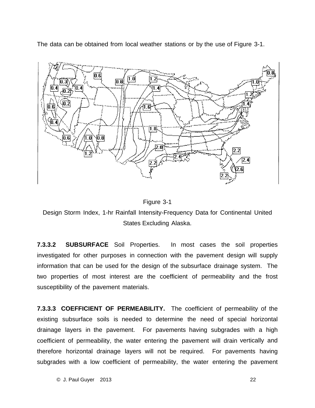The data can be obtained from local weather stations or by the use of Figure 3-1.





Design Storm Index, 1-hr Rainfall Intensity-Frequency Data for Continental United States Excluding Alaska.

**7.3.3.2 SUBSURFACE** Soil Properties. In most cases the soil properties investigated for other purposes in connection with the pavement design will supply information that can be used for the design of the subsurface drainage system. The two properties of most interest are the coefficient of permeability and the frost susceptibility of the pavement materials.

**7.3.3.3 COEFFICIENT OF PERMEABILITY.** The coefficient of permeability of the existing subsurface soils is needed to determine the need of special horizontal drainage layers in the pavement. For pavements having subgrades with a high coefficient of permeability, the water entering the pavement will drain vertically and therefore horizontal drainage layers will not be required. For pavements having subgrades with a low coefficient of permeability, the water entering the pavement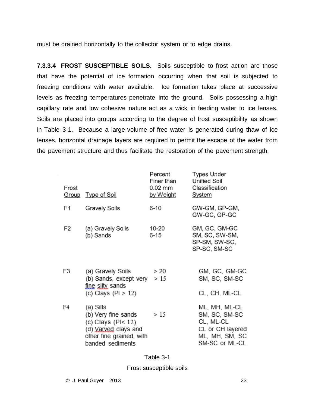must be drained horizontally to the collector system or to edge drains.

**7.3.3.4 FROST SUSCEPTIBLE SOILS.** Soils susceptible to frost action are those that have the potential of ice formation occurring when that soil is subjected to freezing conditions with water available. Ice formation takes place at successive levels as freezing temperatures penetrate into the ground. Soils possessing a high capillary rate and low cohesive nature act as a wick in feeding water to ice lenses. Soils are placed into groups according to the degree of frost susceptibility as shown in Table 3-1. Because a large volume of free water is generated during thaw of ice lenses, horizontal drainage layers are required to permit the escape of the water from the pavement structure and thus facilitate the restoration of the pavement strength.

| Frost | Group Type of Soil                                                                                                                 | Percent<br>Finer than<br>0.02 mm<br><u>by Weight</u> | <b>Types Under</b><br><b>Unified Soil</b><br>Classification<br><b>System</b>                        |
|-------|------------------------------------------------------------------------------------------------------------------------------------|------------------------------------------------------|-----------------------------------------------------------------------------------------------------|
| F1    | Gravely Soils                                                                                                                      | $6 - 10$                                             | GW-GM, GP-GM,<br>GW-GC, GP-GC                                                                       |
| F2    | (a) Gravely Soils<br>(b) Sands                                                                                                     | 10-20<br>6-15                                        | GM, GC, GM-GC<br>SM, SC, SW-SM,<br>SP-SM, SW-SC,<br>SP-SC, SM-SC                                    |
| F3    | (a) Gravely Soils<br>(b) Sands, except very $> 15$<br>fine silty sands<br>(c) Clays $(Pl > 12)$                                    | > 20                                                 | GM, GC, GM-GC<br>SM, SC, SM-SC<br>CL, CH, ML-CL                                                     |
| F4    | (a) Silts<br>(b) Very fine sands<br>(c) Clays (P $\le$ 12)<br>(d) Varved clays and<br>other fine grained, with<br>banded sediments | >15                                                  | ML, MH, ML-CL<br>SM, SC, SM-SC<br>CL, ML-CL<br>CL or CH layered<br>ML, MH, SM, SC<br>SM-SC or ML-CL |

#### Table 3-1

Frost susceptible soils